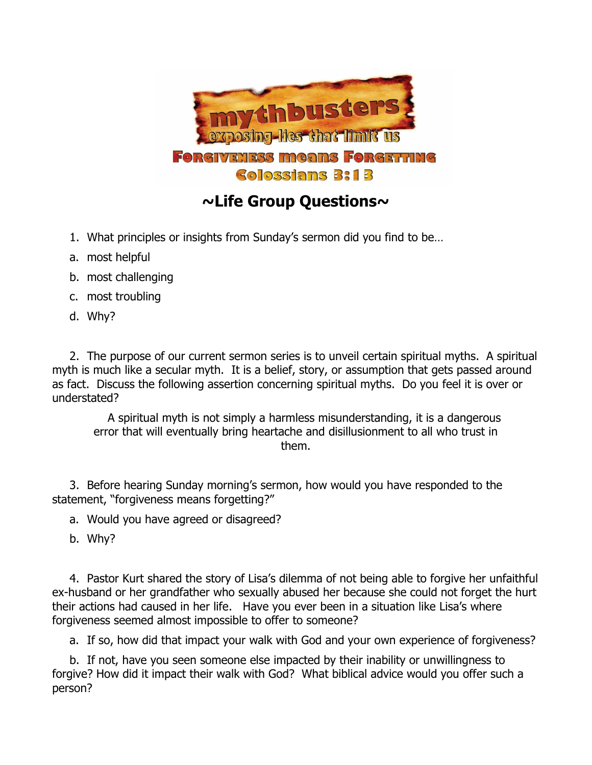

## **~Life Group Questions~**

- 1. What principles or insights from Sunday's sermon did you find to be…
- a. most helpful
- b. most challenging
- c. most troubling
- d. Why?

2. The purpose of our current sermon series is to unveil certain spiritual myths. A spiritual myth is much like a secular myth. It is a belief, story, or assumption that gets passed around as fact. Discuss the following assertion concerning spiritual myths. Do you feel it is over or understated?

A spiritual myth is not simply a harmless misunderstanding, it is a dangerous error that will eventually bring heartache and disillusionment to all who trust in them.

3. Before hearing Sunday morning's sermon, how would you have responded to the statement, "forgiveness means forgetting?"

a. Would you have agreed or disagreed?

b. Why?

4. Pastor Kurt shared the story of Lisa's dilemma of not being able to forgive her unfaithful ex-husband or her grandfather who sexually abused her because she could not forget the hurt their actions had caused in her life. Have you ever been in a situation like Lisa's where forgiveness seemed almost impossible to offer to someone?

a. If so, how did that impact your walk with God and your own experience of forgiveness?

b. If not, have you seen someone else impacted by their inability or unwillingness to forgive? How did it impact their walk with God? What biblical advice would you offer such a person?